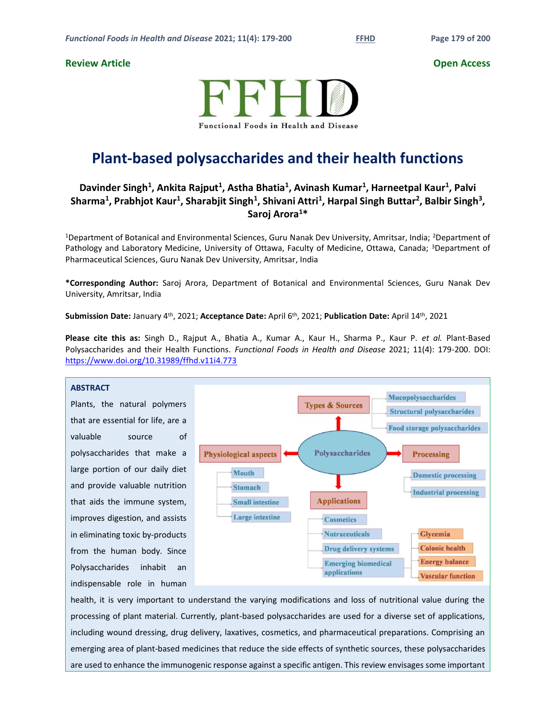# **Review Article Open Access**



# **Plant-based polysaccharides and their health functions**

# **Davinder Singh<sup>1</sup> , Ankita Rajput<sup>1</sup> , Astha Bhatia<sup>1</sup> , Avinash Kumar<sup>1</sup> , Harneetpal Kaur<sup>1</sup> , Palvi**   $\Delta$ **Sharma<sup>1</sup>, Prabhjot Kaur<sup>1</sup>, Sharabjit Singh<sup>1</sup>, Shivani Attri<sup>1</sup>, Harpal Singh Buttar<sup>2</sup>, Balbir Singh<sup>3</sup>, Saroj Arora<sup>1</sup>\***

<sup>1</sup>Department of Botanical and Environmental Sciences, Guru Nanak Dev University, Amritsar, India; <sup>2</sup>Department of Pathology and Laboratory Medicine, University of Ottawa, Faculty of Medicine, Ottawa, Canada; <sup>3</sup>Department of Pharmaceutical Sciences, Guru Nanak Dev University, Amritsar, India

**\*Corresponding Author:** Saroj Arora, Department of Botanical and Environmental Sciences, Guru Nanak Dev University, Amritsar, India

**Submission Date:** January 4th, 2021; **Acceptance Date:** April 6 th, 2021; **Publication Date:** April 14th, 2021

**Please cite this as:** Singh D., Rajput A., Bhatia A., Kumar A., Kaur H., Sharma P., Kaur P. *et al.* Plant-Based Polysaccharides and their Health Functions. *Functional Foods in Health and Disease* 2021; 11(4): 179-200. DOI: <https://www.doi.org/10.31989/ffhd.v11i4.773>

# **ABSTRACT**

Plants, the natural polymers that are essential for life, are a valuable source of polysaccharides that make a large portion of our daily diet and provide valuable nutrition that aids the immune system, improves digestion, and assists in eliminating toxic by-products from the human body. Since Polysaccharides inhabit an indispensable role in human



health, it is very important to understand the varying modifications and loss of nutritional value during the processing of plant material. Currently, plant-based polysaccharides are used for a diverse set of applications, including wound dressing, drug delivery, laxatives, cosmetics, and pharmaceutical preparations. Comprising an emerging area of plant-based medicines that reduce the side effects of synthetic sources, these polysaccharides are used to enhance the immunogenic response against a specific antigen. This review envisages some important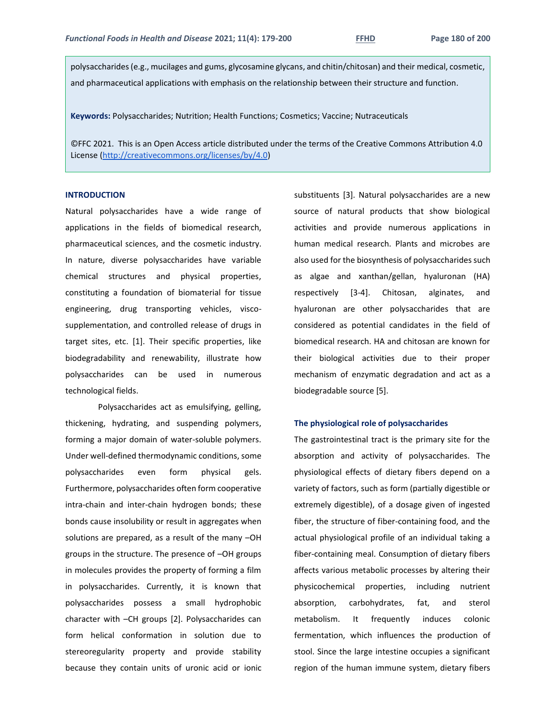polysaccharides (e.g., mucilages and gums, glycosamine glycans, and chitin/chitosan) and their medical, cosmetic, and pharmaceutical applications with emphasis on the relationship between their structure and function.

**Keywords:** Polysaccharides; Nutrition; Health Functions; Cosmetics; Vaccine; Nutraceuticals

©FFC 2021. This is an Open Access article distributed under the terms of the Creative Commons Attribution 4.0 License [\(http://creativecommons.org/licenses/by/4.0\)](http://creativecommons.org/licenses/by/4.0)

# **INTRODUCTION**

Natural polysaccharides have a wide range of applications in the fields of biomedical research, pharmaceutical sciences, and the cosmetic industry. In nature, diverse polysaccharides have variable chemical structures and physical properties, constituting a foundation of biomaterial for tissue engineering, drug transporting vehicles, viscosupplementation, and controlled release of drugs in target sites, etc. [1]. Their specific properties, like biodegradability and renewability, illustrate how polysaccharides can be used in numerous technological fields.

Polysaccharides act as emulsifying, gelling, thickening, hydrating, and suspending polymers, forming a major domain of water-soluble polymers. Under well-defined thermodynamic conditions, some polysaccharides even form physical gels. Furthermore, polysaccharides often form cooperative intra-chain and inter-chain hydrogen bonds; these bonds cause insolubility or result in aggregates when solutions are prepared, as a result of the many –OH groups in the structure. The presence of –OH groups in molecules provides the property of forming a film in polysaccharides. Currently, it is known that polysaccharides possess a small hydrophobic character with –CH groups [2]. Polysaccharides can form helical conformation in solution due to stereoregularity property and provide stability because they contain units of uronic acid or ionic

substituents [3]. Natural polysaccharides are a new source of natural products that show biological activities and provide numerous applications in human medical research. Plants and microbes are also used for the biosynthesis of polysaccharides such as algae and xanthan/gellan, hyaluronan (HA) respectively [3-4]. Chitosan, alginates, and hyaluronan are other polysaccharides that are considered as potential candidates in the field of biomedical research. HA and chitosan are known for their biological activities due to their proper mechanism of enzymatic degradation and act as a biodegradable source [5].

## **The physiological role of polysaccharides**

The gastrointestinal tract is the primary site for the absorption and activity of polysaccharides. The physiological effects of dietary fibers depend on a variety of factors, such as form (partially digestible or extremely digestible), of a dosage given of ingested fiber, the structure of fiber-containing food, and the actual physiological profile of an individual taking a fiber-containing meal. Consumption of dietary fibers affects various metabolic processes by altering their physicochemical properties, including nutrient absorption, carbohydrates, fat, and sterol metabolism. It frequently induces colonic fermentation, which influences the production of stool. Since the large intestine occupies a significant region of the human immune system, dietary fibers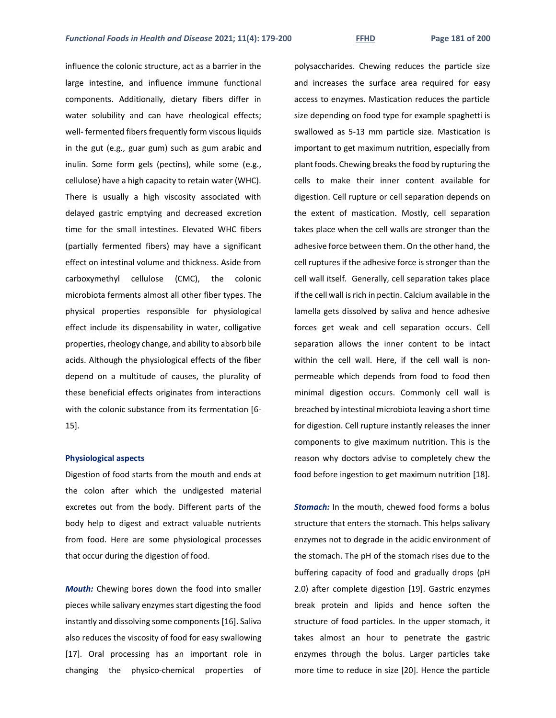influence the colonic structure, act as a barrier in the large intestine, and influence immune functional components. Additionally, dietary fibers differ in water solubility and can have rheological effects; well- fermented fibers frequently form viscous liquids in the gut (e.g., guar gum) such as gum arabic and inulin. Some form gels (pectins), while some (e.g., cellulose) have a high capacity to retain water (WHC). There is usually a high viscosity associated with delayed gastric emptying and decreased excretion time for the small intestines. Elevated WHC fibers (partially fermented fibers) may have a significant effect on intestinal volume and thickness. Aside from carboxymethyl cellulose (CMC), the colonic microbiota ferments almost all other fiber types. The physical properties responsible for physiological effect include its dispensability in water, colligative properties, rheology change, and ability to absorb bile acids. Although the physiological effects of the fiber depend on a multitude of causes, the plurality of these beneficial effects originates from interactions with the colonic substance from its fermentation [6- 15].

# **Physiological aspects**

Digestion of food starts from the mouth and ends at the colon after which the undigested material excretes out from the body. Different parts of the body help to digest and extract valuable nutrients from food. Here are some physiological processes that occur during the digestion of food.

*Mouth:* Chewing bores down the food into smaller pieces while salivary enzymes start digesting the food instantly and dissolving some components [16]. Saliva also reduces the viscosity of food for easy swallowing [17]. Oral processing has an important role in changing the physico-chemical properties of

polysaccharides. Chewing reduces the particle size and increases the surface area required for easy access to enzymes. Mastication reduces the particle size depending on food type for example spaghetti is swallowed as 5-13 mm particle size. Mastication is important to get maximum nutrition, especially from plant foods. Chewing breaks the food by rupturing the cells to make their inner content available for digestion. Cell rupture or cell separation depends on the extent of mastication. Mostly, cell separation takes place when the cell walls are stronger than the adhesive force between them. On the other hand, the cell ruptures if the adhesive force is stronger than the cell wall itself. Generally, cell separation takes place if the cell wall is rich in pectin. Calcium available in the lamella gets dissolved by saliva and hence adhesive forces get weak and cell separation occurs. Cell separation allows the inner content to be intact within the cell wall. Here, if the cell wall is nonpermeable which depends from food to food then minimal digestion occurs. Commonly cell wall is breached by intestinal microbiota leaving a short time for digestion. Cell rupture instantly releases the inner components to give maximum nutrition. This is the reason why doctors advise to completely chew the food before ingestion to get maximum nutrition [18].

*Stomach:* In the mouth, chewed food forms a bolus structure that enters the stomach. This helps salivary enzymes not to degrade in the acidic environment of the stomach. The pH of the stomach rises due to the buffering capacity of food and gradually drops (pH 2.0) after complete digestion [19]. Gastric enzymes break protein and lipids and hence soften the structure of food particles. In the upper stomach, it takes almost an hour to penetrate the gastric enzymes through the bolus. Larger particles take more time to reduce in size [20]. Hence the particle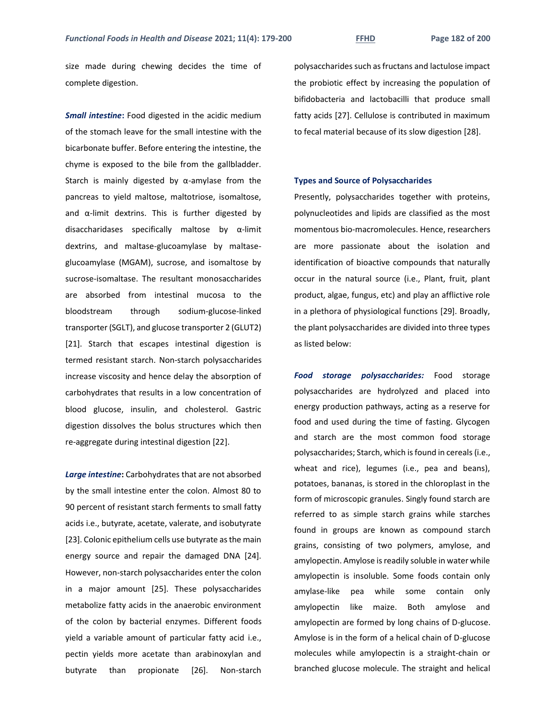size made during chewing decides the time of complete digestion.

*Small intestine***:** Food digested in the acidic medium of the stomach leave for the small intestine with the bicarbonate buffer. Before entering the intestine, the chyme is exposed to the bile from the gallbladder. Starch is mainly digested by  $\alpha$ -amylase from the pancreas to yield maltose, maltotriose, isomaltose, and  $\alpha$ -limit dextrins. This is further digested by disaccharidases specifically maltose by α-limit dextrins, and maltase-glucoamylase by maltaseglucoamylase (MGAM), sucrose, and isomaltose by sucrose-isomaltase. The resultant monosaccharides are absorbed from intestinal mucosa to the bloodstream through sodium-glucose-linked transporter (SGLT), and glucose transporter 2 (GLUT2) [21]. Starch that escapes intestinal digestion is termed resistant starch. Non-starch polysaccharides increase viscosity and hence delay the absorption of carbohydrates that results in a low concentration of blood glucose, insulin, and cholesterol. Gastric digestion dissolves the bolus structures which then re-aggregate during intestinal digestion [22].

*Large intestine***:** Carbohydrates that are not absorbed by the small intestine enter the colon. Almost 80 to 90 percent of resistant starch ferments to small fatty acids i.e., butyrate, acetate, valerate, and isobutyrate [23]. Colonic epithelium cells use butyrate as the main energy source and repair the damaged DNA [24]. However, non-starch polysaccharides enter the colon in a major amount [25]. These polysaccharides metabolize fatty acids in the anaerobic environment of the colon by bacterial enzymes. Different foods yield a variable amount of particular fatty acid i.e., pectin yields more acetate than arabinoxylan and butyrate than propionate [26]. Non-starch

polysaccharides such as fructans and lactulose impact the probiotic effect by increasing the population of bifidobacteria and lactobacilli that produce small fatty acids [27]. Cellulose is contributed in maximum to fecal material because of its slow digestion [28].

# **Types and Source of Polysaccharides**

Presently, polysaccharides together with proteins, polynucleotides and lipids are classified as the most momentous bio-macromolecules. Hence, researchers are more passionate about the isolation and identification of bioactive compounds that naturally occur in the natural source (i.e., Plant, fruit, plant product, algae, fungus, etc) and play an afflictive role in a plethora of physiological functions [29]. Broadly, the plant polysaccharides are divided into three types as listed below:

*Food storage polysaccharides:* Food storage polysaccharides are hydrolyzed and placed into energy production pathways, acting as a reserve for food and used during the time of fasting. Glycogen and starch are the most common food storage polysaccharides; Starch, which is found in cereals (i.e., wheat and rice), legumes (i.e., pea and beans), potatoes, bananas, is stored in the chloroplast in the form of microscopic granules. Singly found starch are referred to as simple starch grains while starches found in groups are known as compound starch grains, consisting of two polymers, amylose, and amylopectin. Amylose is readily soluble in water while amylopectin is insoluble. Some foods contain only amylase-like pea while some contain only amylopectin like maize. Both amylose and amylopectin are formed by long chains of D-glucose. Amylose is in the form of a helical chain of D-glucose molecules while amylopectin is a straight-chain or branched glucose molecule. The straight and helical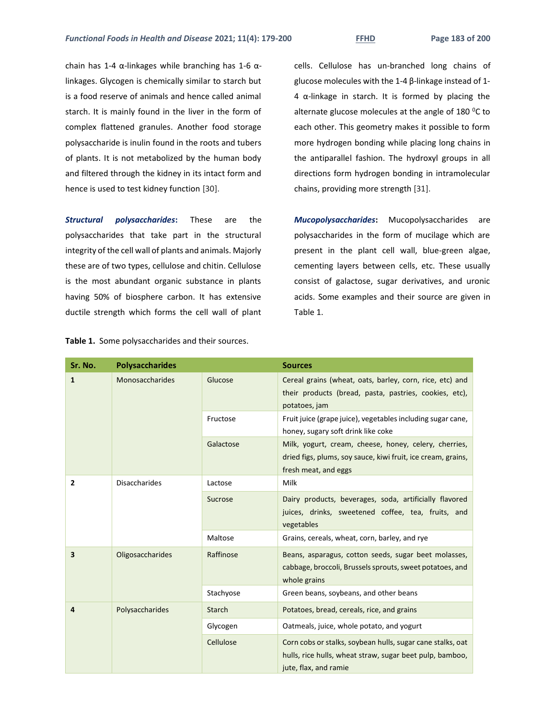chain has 1-4 α-linkages while branching has 1-6 αlinkages. Glycogen is chemically similar to starch but is a food reserve of animals and hence called animal starch. It is mainly found in the liver in the form of complex flattened granules. Another food storage polysaccharide is inulin found in the roots and tubers of plants. It is not metabolized by the human body and filtered through the kidney in its intact form and hence is used to test kidney function [30].

*Structural polysaccharides***:** These are the polysaccharides that take part in the structural integrity of the cell wall of plants and animals. Majorly these are of two types, cellulose and chitin. Cellulose is the most abundant organic substance in plants having 50% of biosphere carbon. It has extensive ductile strength which forms the cell wall of plant cells. Cellulose has un-branched long chains of glucose molecules with the 1-4 β-linkage instead of 1- 4 α-linkage in starch. It is formed by placing the alternate glucose molecules at the angle of 180 $\,^0C$  to each other. This geometry makes it possible to form more hydrogen bonding while placing long chains in the antiparallel fashion. The hydroxyl groups in all directions form hydrogen bonding in intramolecular chains, providing more strength [31].

*Mucopolysaccharides***:** Mucopolysaccharides are polysaccharides in the form of mucilage which are present in the plant cell wall, blue-green algae, cementing layers between cells, etc. These usually consist of galactose, sugar derivatives, and uronic acids. Some examples and their source are given in Table 1.

| Sr. No.      | <b>Polysaccharides</b> |               | <b>Sources</b>                                                                                                                                  |
|--------------|------------------------|---------------|-------------------------------------------------------------------------------------------------------------------------------------------------|
| $\mathbf{1}$ | Monosaccharides        | Glucose       | Cereal grains (wheat, oats, barley, corn, rice, etc) and<br>their products (bread, pasta, pastries, cookies, etc),<br>potatoes, jam             |
|              |                        | Fructose      | Fruit juice (grape juice), vegetables including sugar cane,<br>honey, sugary soft drink like coke                                               |
|              |                        | Galactose     | Milk, yogurt, cream, cheese, honey, celery, cherries,<br>dried figs, plums, soy sauce, kiwi fruit, ice cream, grains,<br>fresh meat, and eggs   |
| 2            | <b>Disaccharides</b>   | Lactose       | Milk                                                                                                                                            |
|              |                        | Sucrose       | Dairy products, beverages, soda, artificially flavored<br>juices, drinks, sweetened coffee, tea, fruits, and<br>vegetables                      |
|              |                        | Maltose       | Grains, cereals, wheat, corn, barley, and rye                                                                                                   |
| 3            | Oligosaccharides       | Raffinose     | Beans, asparagus, cotton seeds, sugar beet molasses,<br>cabbage, broccoli, Brussels sprouts, sweet potatoes, and<br>whole grains                |
|              |                        | Stachyose     | Green beans, soybeans, and other beans                                                                                                          |
| 4            | Polysaccharides        | <b>Starch</b> | Potatoes, bread, cereals, rice, and grains                                                                                                      |
|              |                        | Glycogen      | Oatmeals, juice, whole potato, and yogurt                                                                                                       |
|              |                        | Cellulose     | Corn cobs or stalks, soybean hulls, sugar cane stalks, oat<br>hulls, rice hulls, wheat straw, sugar beet pulp, bamboo,<br>jute, flax, and ramie |

**Table 1.** Some polysaccharides and their sources.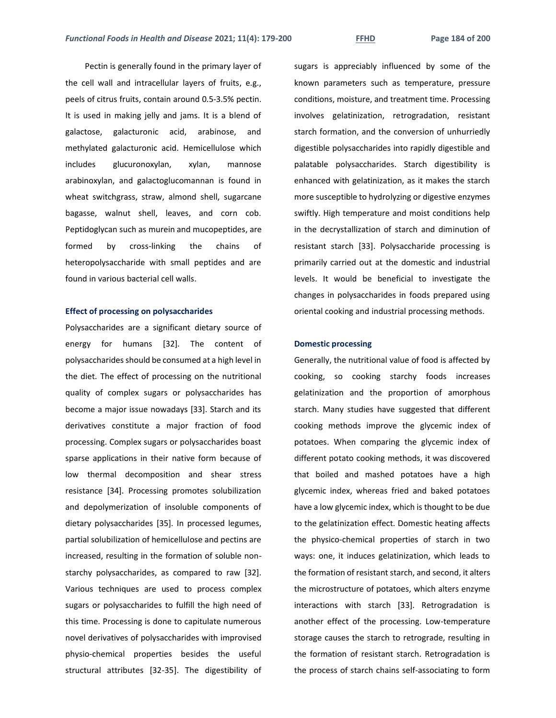Pectin is generally found in the primary layer of the cell wall and intracellular layers of fruits, e.g., peels of citrus fruits, contain around 0.5-3.5% pectin. It is used in making jelly and jams. It is a blend of galactose, galacturonic acid, arabinose, and methylated galacturonic acid. Hemicellulose which includes glucuronoxylan, xylan, mannose arabinoxylan, and galactoglucomannan is found in wheat switchgrass, straw, almond shell, sugarcane bagasse, walnut shell, leaves, and corn cob. Peptidoglycan such as murein and mucopeptides, are formed by cross-linking the chains of heteropolysaccharide with small peptides and are found in various bacterial cell walls.

## **Effect of processing on polysaccharides**

Polysaccharides are a significant dietary source of energy for humans [32]. The content of polysaccharides should be consumed at a high level in the diet. The effect of processing on the nutritional quality of complex sugars or polysaccharides has become a major issue nowadays [33]. Starch and its derivatives constitute a major fraction of food processing. Complex sugars or polysaccharides boast sparse applications in their native form because of low thermal decomposition and shear stress resistance [34]. Processing promotes solubilization and depolymerization of insoluble components of dietary polysaccharides [35]. In processed legumes, partial solubilization of hemicellulose and pectins are increased, resulting in the formation of soluble nonstarchy polysaccharides, as compared to raw [32]. Various techniques are used to process complex sugars or polysaccharides to fulfill the high need of this time. Processing is done to capitulate numerous novel derivatives of polysaccharides with improvised physio-chemical properties besides the useful structural attributes [32-35]. The digestibility of

sugars is appreciably influenced by some of the known parameters such as temperature, pressure conditions, moisture, and treatment time. Processing involves gelatinization, retrogradation, resistant starch formation, and the conversion of unhurriedly digestible polysaccharides into rapidly digestible and palatable polysaccharides. Starch digestibility is enhanced with gelatinization, as it makes the starch more susceptible to hydrolyzing or digestive enzymes swiftly. High temperature and moist conditions help in the decrystallization of starch and diminution of resistant starch [33]. Polysaccharide processing is primarily carried out at the domestic and industrial levels. It would be beneficial to investigate the changes in polysaccharides in foods prepared using oriental cooking and industrial processing methods.

# **Domestic processing**

Generally, the nutritional value of food is affected by cooking, so cooking starchy foods increases gelatinization and the proportion of amorphous starch. Many studies have suggested that different cooking methods improve the glycemic index of potatoes. When comparing the glycemic index of different potato cooking methods, it was discovered that boiled and mashed potatoes have a high glycemic index, whereas fried and baked potatoes have a low glycemic index, which is thought to be due to the gelatinization effect. Domestic heating affects the physico-chemical properties of starch in two ways: one, it induces gelatinization, which leads to the formation of resistant starch, and second, it alters the microstructure of potatoes, which alters enzyme interactions with starch [33]. Retrogradation is another effect of the processing. Low-temperature storage causes the starch to retrograde, resulting in the formation of resistant starch. Retrogradation is the process of starch chains self-associating to form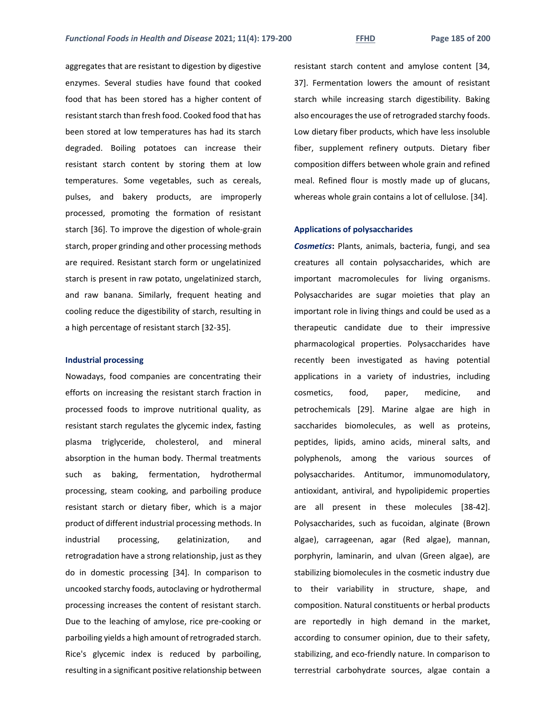aggregates that are resistant to digestion by digestive enzymes. Several studies have found that cooked food that has been stored has a higher content of resistant starch than fresh food. Cooked food that has been stored at low temperatures has had its starch degraded. Boiling potatoes can increase their resistant starch content by storing them at low temperatures. Some vegetables, such as cereals, pulses, and bakery products, are improperly processed, promoting the formation of resistant starch [36]. To improve the digestion of whole-grain starch, proper grinding and other processing methods are required. Resistant starch form or ungelatinized starch is present in raw potato, ungelatinized starch, and raw banana. Similarly, frequent heating and cooling reduce the digestibility of starch, resulting in a high percentage of resistant starch [32-35].

# **Industrial processing**

Nowadays, food companies are concentrating their efforts on increasing the resistant starch fraction in processed foods to improve nutritional quality, as resistant starch regulates the glycemic index, fasting plasma triglyceride, cholesterol, and mineral absorption in the human body. Thermal treatments such as baking, fermentation, hydrothermal processing, steam cooking, and parboiling produce resistant starch or dietary fiber, which is a major product of different industrial processing methods. In industrial processing, gelatinization, and retrogradation have a strong relationship, just as they do in domestic processing [34]. In comparison to uncooked starchy foods, autoclaving or hydrothermal processing increases the content of resistant starch. Due to the leaching of amylose, rice pre-cooking or parboiling yields a high amount of retrograded starch. Rice's glycemic index is reduced by parboiling, resulting in a significant positive relationship between

resistant starch content and amylose content [34, 37]. Fermentation lowers the amount of resistant starch while increasing starch digestibility. Baking also encourages the use of retrograded starchy foods. Low dietary fiber products, which have less insoluble fiber, supplement refinery outputs. Dietary fiber composition differs between whole grain and refined meal. Refined flour is mostly made up of glucans, whereas whole grain contains a lot of cellulose. [34].

#### **Applications of polysaccharides**

*Cosmetics***:** Plants, animals, bacteria, fungi, and sea creatures all contain polysaccharides, which are important macromolecules for living organisms. Polysaccharides are sugar moieties that play an important role in living things and could be used as a therapeutic candidate due to their impressive pharmacological properties. Polysaccharides have recently been investigated as having potential applications in a variety of industries, including cosmetics, food, paper, medicine, and petrochemicals [29]. Marine algae are high in saccharides biomolecules, as well as proteins, peptides, lipids, amino acids, mineral salts, and polyphenols, among the various sources of polysaccharides. Antitumor, immunomodulatory, antioxidant, antiviral, and hypolipidemic properties are all present in these molecules [38-42]. Polysaccharides, such as fucoidan, alginate (Brown algae), carrageenan, agar (Red algae), mannan, porphyrin, laminarin, and ulvan (Green algae), are stabilizing biomolecules in the cosmetic industry due to their variability in structure, shape, and composition. Natural constituents or herbal products are reportedly in high demand in the market, according to consumer opinion, due to their safety, stabilizing, and eco-friendly nature. In comparison to terrestrial carbohydrate sources, algae contain a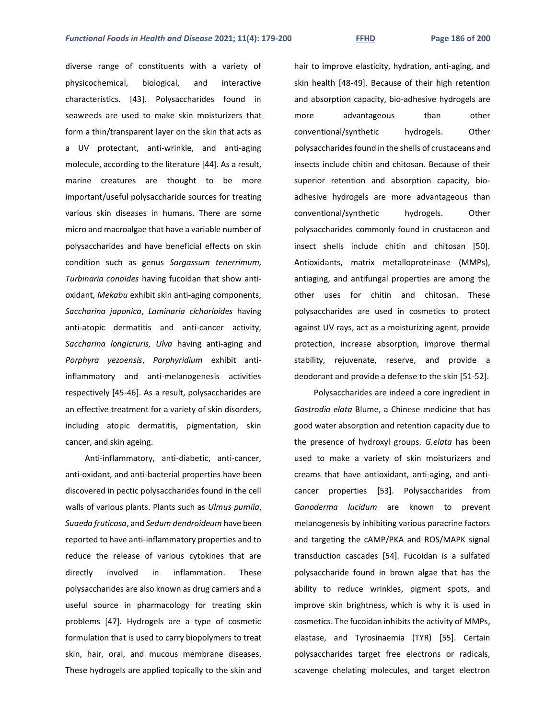diverse range of constituents with a variety of physicochemical, biological, and interactive characteristics. [43]. Polysaccharides found in seaweeds are used to make skin moisturizers that form a thin/transparent layer on the skin that acts as a UV protectant, anti-wrinkle, and anti-aging molecule, according to the literature [44]. As a result, marine creatures are thought to be more important/useful polysaccharide sources for treating various skin diseases in humans. There are some micro and macroalgae that have a variable number of polysaccharides and have beneficial effects on skin condition such as genus *Sargassum tenerrimum, Turbinaria conoides* having fucoidan that show antioxidant, *Mekabu* exhibit skin anti-aging components, *Saccharina japonica*, *Laminaria cichorioides* having anti-atopic dermatitis and anti-cancer activity, *Saccharina longicruris, Ulva* having anti-aging and *Porphyra yezoensis*, *Porphyridium* exhibit antiinflammatory and anti-melanogenesis activities respectively [45-46]. As a result, polysaccharides are an effective treatment for a variety of skin disorders, including atopic dermatitis, pigmentation, skin cancer, and skin ageing.

Anti-inflammatory, anti-diabetic, anti-cancer, anti-oxidant, and anti-bacterial properties have been discovered in pectic polysaccharides found in the cell walls of various plants. Plants such as *Ulmus pumila*, *Suaeda fruticosa*, and *Sedum dendroideum* have been reported to have anti-inflammatory properties and to reduce the release of various cytokines that are directly involved in inflammation. These polysaccharides are also known as drug carriers and a useful source in pharmacology for treating skin problems [47]. Hydrogels are a type of cosmetic formulation that is used to carry biopolymers to treat skin, hair, oral, and mucous membrane diseases. These hydrogels are applied topically to the skin and

hair to improve elasticity, hydration, anti-aging, and skin health [48-49]. Because of their high retention and absorption capacity, bio-adhesive hydrogels are more advantageous than other conventional/synthetic hydrogels. Other polysaccharides found in the shells of crustaceans and insects include chitin and chitosan. Because of their superior retention and absorption capacity, bioadhesive hydrogels are more advantageous than conventional/synthetic hydrogels. Other polysaccharides commonly found in crustacean and insect shells include chitin and chitosan [50]. Antioxidants, matrix metalloproteinase (MMPs), antiaging, and antifungal properties are among the other uses for chitin and chitosan. These polysaccharides are used in cosmetics to protect against UV rays, act as a moisturizing agent, provide protection, increase absorption, improve thermal stability, rejuvenate, reserve, and provide a deodorant and provide a defense to the skin [51-52].

Polysaccharides are indeed a core ingredient in *Gastrodia elata* Blume, a Chinese medicine that has good water absorption and retention capacity due to the presence of hydroxyl groups. *G.elata* has been used to make a variety of skin moisturizers and creams that have antioxidant, anti-aging, and anticancer properties [53]. Polysaccharides from *Ganoderma lucidum* are known to prevent melanogenesis by inhibiting various paracrine factors and targeting the cAMP/PKA and ROS/MAPK signal transduction cascades [54]. Fucoidan is a sulfated polysaccharide found in brown algae that has the ability to reduce wrinkles, pigment spots, and improve skin brightness, which is why it is used in cosmetics. The fucoidan inhibits the activity of MMPs, elastase, and Tyrosinaemia (TYR) [55]. Certain polysaccharides target free electrons or radicals, scavenge chelating molecules, and target electron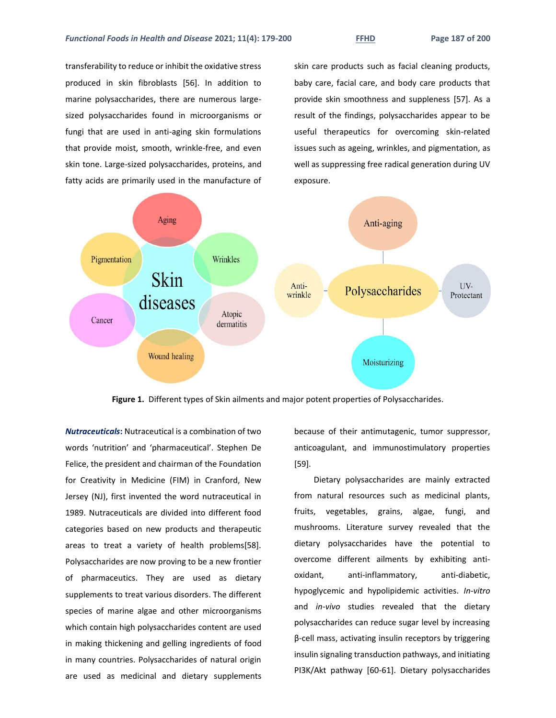transferability to reduce or inhibit the oxidative stress produced in skin fibroblasts [56]. In addition to marine polysaccharides, there are numerous largesized polysaccharides found in microorganisms or fungi that are used in anti-aging skin formulations that provide moist, smooth, wrinkle-free, and even skin tone. Large-sized polysaccharides, proteins, and fatty acids are primarily used in the manufacture of skin care products such as facial cleaning products, baby care, facial care, and body care products that provide skin smoothness and suppleness [57]. As a result of the findings, polysaccharides appear to be useful therapeutics for overcoming skin-related issues such as ageing, wrinkles, and pigmentation, as well as suppressing free radical generation during UV exposure.



**Figure 1.** Different types of Skin ailments and major potent properties of Polysaccharides.

*Nutraceuticals***:** Nutraceutical is a combination of two words 'nutrition' and 'pharmaceutical'. Stephen De Felice, the president and chairman of the Foundation for Creativity in Medicine (FIM) in Cranford, New Jersey (NJ), first invented the word nutraceutical in 1989. Nutraceuticals are divided into different food categories based on new products and therapeutic areas to treat a variety of health problems[58]. Polysaccharides are now proving to be a new frontier of pharmaceutics. They are used as dietary supplements to treat various disorders. The different species of marine algae and other microorganisms which contain high polysaccharides content are used in making thickening and gelling ingredients of food in many countries. Polysaccharides of natural origin are used as medicinal and dietary supplements because of their antimutagenic, tumor suppressor, anticoagulant, and immunostimulatory properties [59].

Dietary polysaccharides are mainly extracted from natural resources such as medicinal plants, fruits, vegetables, grains, algae, fungi, and mushrooms. Literature survey revealed that the dietary polysaccharides have the potential to overcome different ailments by exhibiting antioxidant, anti-inflammatory, anti-diabetic, hypoglycemic and hypolipidemic activities. *In-vitro*  and *in-vivo* studies revealed that the dietary polysaccharides can reduce sugar level by increasing β-cell mass, activating insulin receptors by triggering insulin signaling transduction pathways, and initiating PI3K/Akt pathway [60-61]. Dietary polysaccharides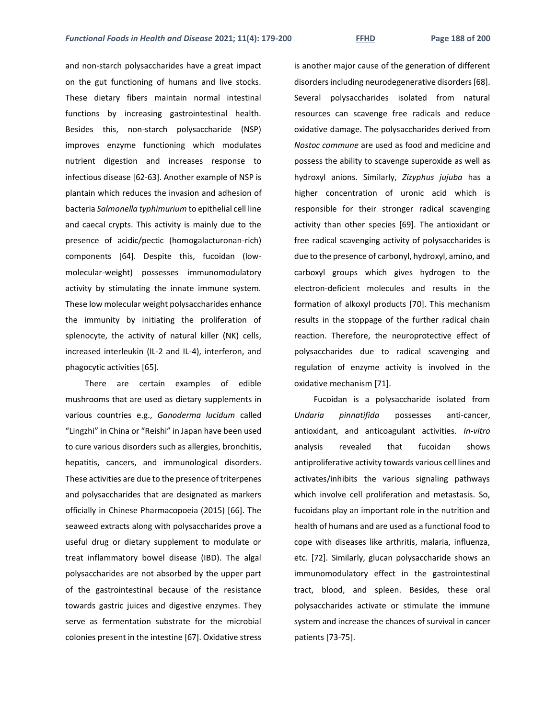and non-starch polysaccharides have a great impact on the gut functioning of humans and live stocks. These dietary fibers maintain normal intestinal functions by increasing gastrointestinal health. Besides this, non-starch polysaccharide (NSP) improves enzyme functioning which modulates nutrient digestion and increases response to infectious disease [62-63]. Another example of NSP is plantain which reduces the invasion and adhesion of bacteria *Salmonella typhimurium* to epithelial cell line and caecal crypts. This activity is mainly due to the presence of acidic/pectic (homogalacturonan-rich) components [64]. Despite this, fucoidan (lowmolecular-weight) possesses immunomodulatory activity by stimulating the innate immune system. These low molecular weight polysaccharides enhance the immunity by initiating the proliferation of splenocyte, the activity of natural killer (NK) cells, increased interleukin (IL-2 and IL-4), interferon, and phagocytic activities [65].

There are certain examples of edible mushrooms that are used as dietary supplements in various countries e.g., *Ganoderma lucidum* called "Lingzhi" in China or "Reishi" in Japan have been used to cure various disorders such as allergies, bronchitis, hepatitis, cancers, and immunological disorders. These activities are due to the presence of triterpenes and polysaccharides that are designated as markers officially in Chinese Pharmacopoeia (2015) [66]. The seaweed extracts along with polysaccharides prove a useful drug or dietary supplement to modulate or treat inflammatory bowel disease (IBD). The algal polysaccharides are not absorbed by the upper part of the gastrointestinal because of the resistance towards gastric juices and digestive enzymes. They serve as fermentation substrate for the microbial colonies present in the intestine [67]. Oxidative stress

is another major cause of the generation of different disorders including neurodegenerative disorders [68]. Several polysaccharides isolated from natural resources can scavenge free radicals and reduce oxidative damage. The polysaccharides derived from *Nostoc commune* are used as food and medicine and possess the ability to scavenge superoxide as well as hydroxyl anions. Similarly, *Zizyphus jujuba* has a higher concentration of uronic acid which is responsible for their stronger radical scavenging activity than other species [69]. The antioxidant or free radical scavenging activity of polysaccharides is due to the presence of carbonyl, hydroxyl, amino, and carboxyl groups which gives hydrogen to the electron-deficient molecules and results in the formation of alkoxyl products [70]. This mechanism results in the stoppage of the further radical chain reaction. Therefore, the neuroprotective effect of polysaccharides due to radical scavenging and regulation of enzyme activity is involved in the oxidative mechanism [71].

Fucoidan is a polysaccharide isolated from *Undaria pinnatifida* possesses anti-cancer, antioxidant, and anticoagulant activities*. In-vitro* analysis revealed that fucoidan shows antiproliferative activity towards various cell lines and activates/inhibits the various signaling pathways which involve cell proliferation and metastasis. So, fucoidans play an important role in the nutrition and health of humans and are used as a functional food to cope with diseases like arthritis, malaria, influenza, etc. [72]. Similarly, glucan polysaccharide shows an immunomodulatory effect in the gastrointestinal tract, blood, and spleen. Besides, these oral polysaccharides activate or stimulate the immune system and increase the chances of survival in cancer patients [73-75].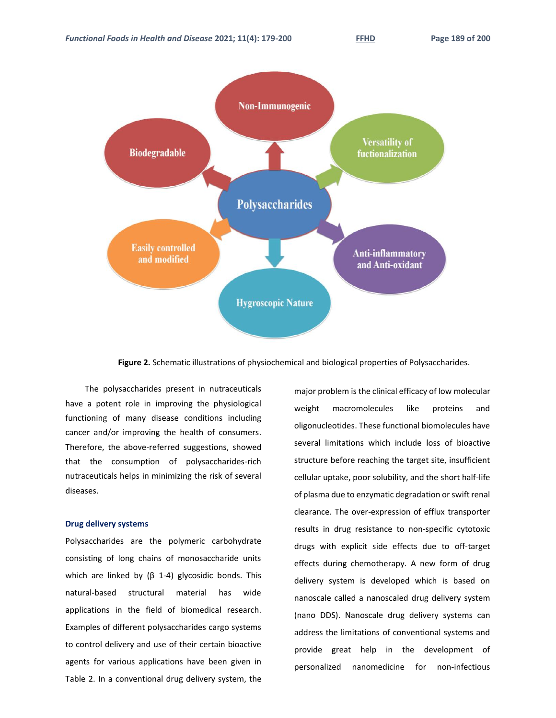

**Figure 2.** Schematic illustrations of physiochemical and biological properties of Polysaccharides.

The polysaccharides present in nutraceuticals have a potent role in improving the physiological functioning of many disease conditions including cancer and/or improving the health of consumers. Therefore, the above-referred suggestions, showed that the consumption of polysaccharides-rich nutraceuticals helps in minimizing the risk of several diseases.

# **Drug delivery systems**

Polysaccharides are the polymeric carbohydrate consisting of long chains of monosaccharide units which are linked by  $(β 1-4)$  glycosidic bonds. This natural-based structural material has wide applications in the field of biomedical research. Examples of different polysaccharides cargo systems to control delivery and use of their certain bioactive agents for various applications have been given in Table 2. In a conventional drug delivery system, the major problem is the clinical efficacy of low molecular weight macromolecules like proteins and oligonucleotides. These functional biomolecules have several limitations which include loss of bioactive structure before reaching the target site, insufficient cellular uptake, poor solubility, and the short half-life of plasma due to enzymatic degradation or swift renal clearance. The over-expression of efflux transporter results in drug resistance to non-specific cytotoxic drugs with explicit side effects due to off-target effects during chemotherapy. A new form of drug delivery system is developed which is based on nanoscale called a nanoscaled drug delivery system (nano DDS). Nanoscale drug delivery systems can address the limitations of conventional systems and provide great help in the development of personalized nanomedicine for non-infectious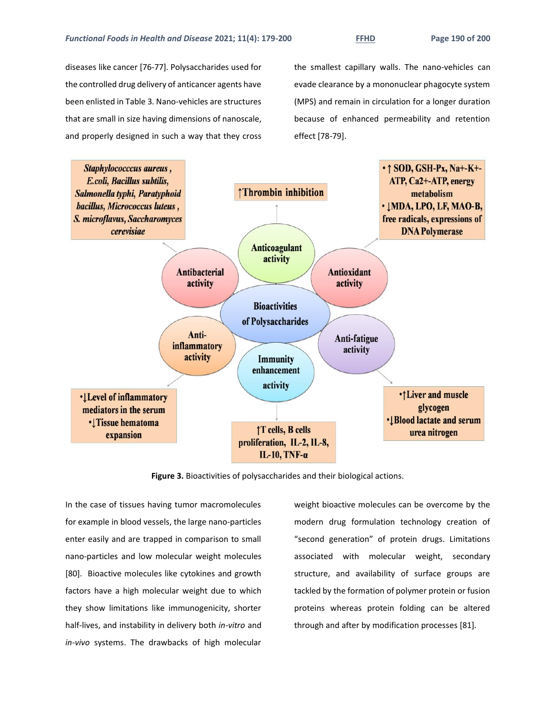diseases like cancer [76-77]. Polysaccharides used for the controlled drug delivery of anticancer agents have been enlisted in Table 3. Nano-vehicles are structures that are small in size having dimensions of nanoscale, and properly designed in such a way that they cross the smallest capillary walls. The nano-vehicles can evade clearance by a mononuclear phagocyte system (MPS) and remain in circulation for a longer duration because of enhanced permeability and retention effect [78-79].



**Figure 3.** Bioactivities of polysaccharides and their biological actions.

In the case of tissues having tumor macromolecules for example in blood vessels, the large nano-particles enter easily and are trapped in comparison to small nano-particles and low molecular weight molecules [80]. Bioactive molecules like cytokines and growth factors have a high molecular weight due to which they show limitations like immunogenicity, shorter half-lives, and instability in delivery both *in-vitro* and *in-vivo* systems. The drawbacks of high molecular weight bioactive molecules can be overcome by the modern drug formulation technology creation of "second generation" of protein drugs. Limitations associated with molecular weight, secondary structure, and availability of surface groups are tackled by the formation of polymer protein or fusion proteins whereas protein folding can be altered through and after by modification processes [81].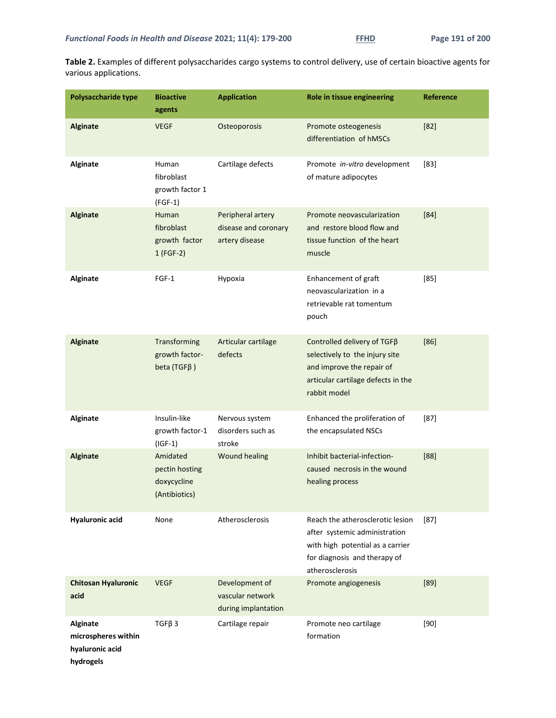**Table 2.** Examples of different polysaccharides cargo systems to control delivery, use of certain bioactive agents for various applications.

| Polysaccharide type                                                    | <b>Bioactive</b><br>agents                                 | <b>Application</b>                                          | Role in tissue engineering                                                                                                                               | Reference |
|------------------------------------------------------------------------|------------------------------------------------------------|-------------------------------------------------------------|----------------------------------------------------------------------------------------------------------------------------------------------------------|-----------|
| <b>Alginate</b>                                                        | <b>VEGF</b>                                                | Osteoporosis                                                | Promote osteogenesis<br>differentiation of hMSCs                                                                                                         | $[82]$    |
| <b>Alginate</b>                                                        | Human<br>fibroblast<br>growth factor 1<br>$(FGF-1)$        | Cartilage defects                                           | Promote in-vitro development<br>of mature adipocytes                                                                                                     | $[83]$    |
| <b>Alginate</b>                                                        | Human<br>fibroblast<br>growth factor<br>$1(FGF-2)$         | Peripheral artery<br>disease and coronary<br>artery disease | Promote neovascularization<br>and restore blood flow and<br>tissue function of the heart<br>muscle                                                       | $[84]$    |
| <b>Alginate</b>                                                        | $FGF-1$                                                    | Hypoxia                                                     | Enhancement of graft<br>neovascularization in a<br>retrievable rat tomentum<br>pouch                                                                     | [85]      |
| <b>Alginate</b>                                                        | Transforming<br>growth factor-<br>beta (TGF $\beta$ )      | Articular cartilage<br>defects                              | Controlled delivery of TGFB<br>selectively to the injury site<br>and improve the repair of<br>articular cartilage defects in the<br>rabbit model         | [86]      |
| Alginate                                                               | Insulin-like<br>growth factor-1<br>$(IGF-1)$               | Nervous system<br>disorders such as<br>stroke               | Enhanced the proliferation of<br>the encapsulated NSCs                                                                                                   | $[87]$    |
| <b>Alginate</b>                                                        | Amidated<br>pectin hosting<br>doxycycline<br>(Antibiotics) | <b>Wound healing</b>                                        | Inhibit bacterial-infection-<br>caused necrosis in the wound<br>healing process                                                                          | [88]      |
| <b>Hyaluronic acid</b>                                                 | None                                                       | Atherosclerosis                                             | Reach the atherosclerotic lesion<br>after systemic administration<br>with high potential as a carrier<br>for diagnosis and therapy of<br>atherosclerosis | $[87]$    |
| <b>Chitosan Hyaluronic</b><br>acid                                     | <b>VEGF</b>                                                | Development of<br>vascular network<br>during implantation   | Promote angiogenesis                                                                                                                                     | $[89]$    |
| <b>Alginate</b><br>microspheres within<br>hyaluronic acid<br>hydrogels | $TGF\beta 3$                                               | Cartilage repair                                            | Promote neo cartilage<br>formation                                                                                                                       | $[90]$    |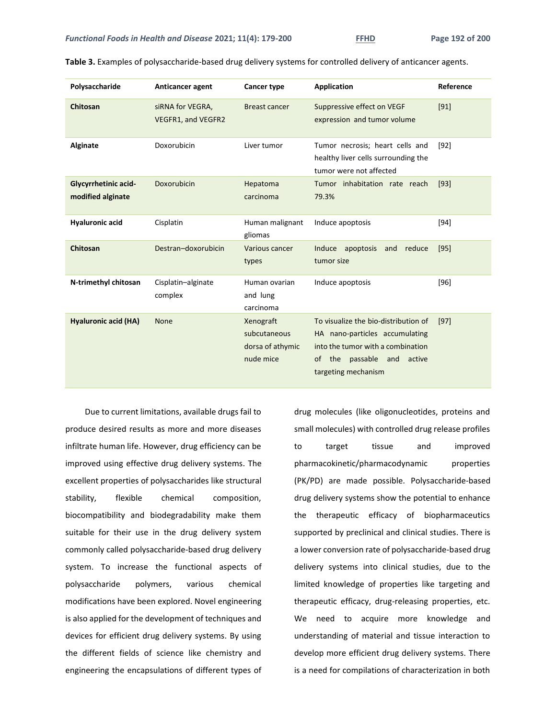| Polysaccharide                                   | Anticancer agent                       | Cancer type                                                | <b>Application</b>                                                                                                                                                           | Reference |
|--------------------------------------------------|----------------------------------------|------------------------------------------------------------|------------------------------------------------------------------------------------------------------------------------------------------------------------------------------|-----------|
| Chitosan                                         | siRNA for VEGRA,<br>VEGFR1, and VEGFR2 | <b>Breast cancer</b>                                       | Suppressive effect on VEGF<br>expression and tumor volume                                                                                                                    | [91]      |
| Alginate                                         | Doxorubicin                            | Liver tumor                                                | Tumor necrosis; heart cells and<br>healthy liver cells surrounding the<br>tumor were not affected                                                                            | $[92]$    |
| <b>Glycyrrhetinic acid-</b><br>modified alginate | Doxorubicin                            | Hepatoma<br>carcinoma                                      | Tumor inhabitation rate reach<br>79.3%                                                                                                                                       | $[93]$    |
| <b>Hyaluronic acid</b>                           | Cisplatin                              | Human malignant<br>gliomas                                 | Induce apoptosis                                                                                                                                                             | $[94]$    |
| Chitosan                                         | Destran-doxorubicin                    | Various cancer<br>types                                    | apoptosis<br>reduce<br>Induce<br>and<br>tumor size                                                                                                                           | $[95]$    |
| N-trimethyl chitosan                             | Cisplatin-alginate<br>complex          | Human ovarian<br>and lung<br>carcinoma                     | Induce apoptosis                                                                                                                                                             | $[96]$    |
| <b>Hyaluronic acid (HA)</b>                      | <b>None</b>                            | Xenograft<br>subcutaneous<br>dorsa of athymic<br>nude mice | To visualize the bio-distribution of<br>HA nano-particles accumulating<br>into the tumor with a combination<br>passable<br>of<br>the<br>and<br>active<br>targeting mechanism | $[97]$    |

**Table 3.** Examples of polysaccharide-based drug delivery systems for controlled delivery of anticancer agents.

Due to current limitations, available drugs fail to produce desired results as more and more diseases infiltrate human life. However, drug efficiency can be improved using effective drug delivery systems. The excellent properties of polysaccharides like structural stability, flexible chemical composition, biocompatibility and biodegradability make them suitable for their use in the drug delivery system commonly called polysaccharide-based drug delivery system. To increase the functional aspects of polysaccharide polymers, various chemical modifications have been explored. Novel engineering is also applied for the development of techniques and devices for efficient drug delivery systems. By using the different fields of science like chemistry and engineering the encapsulations of different types of drug molecules (like oligonucleotides, proteins and small molecules) with controlled drug release profiles to target tissue and improved pharmacokinetic/pharmacodynamic properties (PK/PD) are made possible. Polysaccharide-based drug delivery systems show the potential to enhance the therapeutic efficacy of biopharmaceutics supported by preclinical and clinical studies. There is a lower conversion rate of polysaccharide-based drug delivery systems into clinical studies, due to the limited knowledge of properties like targeting and therapeutic efficacy, drug-releasing properties, etc. We need to acquire more knowledge and understanding of material and tissue interaction to develop more efficient drug delivery systems. There is a need for compilations of characterization in both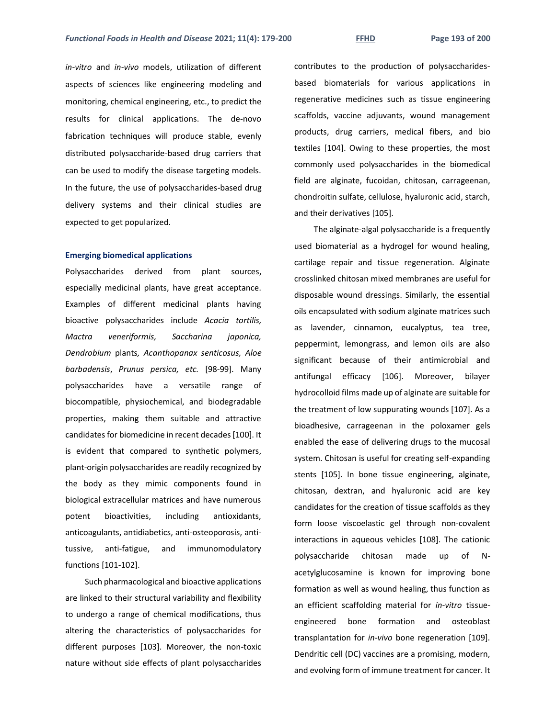*in-vitro* and *in-vivo* models, utilization of different aspects of sciences like engineering modeling and monitoring, chemical engineering, etc., to predict the results for clinical applications. The de-novo fabrication techniques will produce stable, evenly distributed polysaccharide-based drug carriers that can be used to modify the disease targeting models. In the future, the use of polysaccharides-based drug delivery systems and their clinical studies are expected to get popularized.

#### **Emerging biomedical applications**

Polysaccharides derived from plant sources, especially medicinal plants, have great acceptance. Examples of different medicinal plants having bioactive polysaccharides include *Acacia tortilis, Mactra veneriformis, Saccharina japonica, Dendrobium* plants*, Acanthopanax senticosus, Aloe barbadensis*, *Prunus persica, etc.* [98-99]. Many polysaccharides have a versatile range of biocompatible, physiochemical, and biodegradable properties, making them suitable and attractive candidates for biomedicine in recent decades [100]. It is evident that compared to synthetic polymers, plant-origin polysaccharides are readily recognized by the body as they mimic components found in biological extracellular matrices and have numerous potent bioactivities, including antioxidants, anticoagulants, antidiabetics, anti-osteoporosis, antitussive, anti-fatigue, and immunomodulatory functions [101-102].

Such pharmacological and bioactive applications are linked to their structural variability and flexibility to undergo a range of chemical modifications, thus altering the characteristics of polysaccharides for different purposes [103]. Moreover, the non-toxic nature without side effects of plant polysaccharides

contributes to the production of polysaccharidesbased biomaterials for various applications in regenerative medicines such as tissue engineering scaffolds, vaccine adjuvants, wound management products, drug carriers, medical fibers, and bio textiles [104]. Owing to these properties, the most commonly used polysaccharides in the biomedical field are alginate, fucoidan, chitosan, carrageenan, chondroitin sulfate, cellulose, hyaluronic acid, starch, and their derivatives [105].

The alginate-algal polysaccharide is a frequently used biomaterial as a hydrogel for wound healing, cartilage repair and tissue regeneration. Alginate crosslinked chitosan mixed membranes are useful for disposable wound dressings. Similarly, the essential oils encapsulated with sodium alginate matrices such as lavender, cinnamon, eucalyptus, tea tree, peppermint, lemongrass, and lemon oils are also significant because of their antimicrobial and antifungal efficacy [106]. Moreover, bilayer hydrocolloid films made up of alginate are suitable for the treatment of low suppurating wounds [107]. As a bioadhesive, carrageenan in the poloxamer gels enabled the ease of delivering drugs to the mucosal system. Chitosan is useful for creating self-expanding stents [105]. In bone tissue engineering, alginate, chitosan, dextran, and hyaluronic acid are key candidates for the creation of tissue scaffolds as they form loose viscoelastic gel through non-covalent interactions in aqueous vehicles [108]. The cationic polysaccharide chitosan made up of Nacetylglucosamine is known for improving bone formation as well as wound healing, thus function as an efficient scaffolding material for *in-vitro* tissueengineered bone formation and osteoblast transplantation for *in-vivo* bone regeneration [109]. Dendritic cell (DC) vaccines are a promising, modern, and evolving form of immune treatment for cancer. It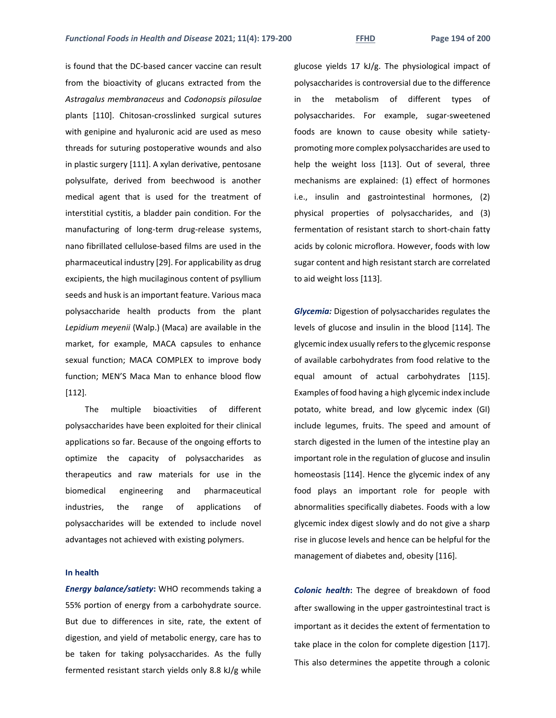is found that the DC-based cancer vaccine can result from the bioactivity of glucans extracted from the *Astragalus membranaceus* and *Codonopsis pilosulae* plants [110]. Chitosan-crosslinked surgical sutures with genipine and hyaluronic acid are used as meso threads for suturing postoperative wounds and also in plastic surgery [111]. A xylan derivative, pentosane polysulfate, derived from beechwood is another medical agent that is used for the treatment of interstitial cystitis, a bladder pain condition. For the manufacturing of long-term drug-release systems, nano fibrillated cellulose-based films are used in the pharmaceutical industry [29]. For applicability as drug excipients, the high mucilaginous content of psyllium seeds and husk is an important feature. Various maca polysaccharide health products from the plant *Lepidium meyenii* (Walp.) (Maca) are available in the

market, for example, MACA capsules to enhance sexual function; MACA COMPLEX to improve body function; MEN'S Maca Man to enhance blood flow [112].

The multiple bioactivities of different polysaccharides have been exploited for their clinical applications so far. Because of the ongoing efforts to optimize the capacity of polysaccharides as therapeutics and raw materials for use in the biomedical engineering and pharmaceutical industries, the range of applications of polysaccharides will be extended to include novel advantages not achieved with existing polymers.

#### **In health**

*Energy balance/satiety***:** WHO recommends taking a 55% portion of energy from a carbohydrate source. But due to differences in site, rate, the extent of digestion, and yield of metabolic energy, care has to be taken for taking polysaccharides. As the fully fermented resistant starch yields only 8.8 kJ/g while

glucose yields 17 kJ/g. The physiological impact of polysaccharides is controversial due to the difference in the metabolism of different types of polysaccharides. For example, sugar-sweetened foods are known to cause obesity while satietypromoting more complex polysaccharides are used to help the weight loss [113]. Out of several, three mechanisms are explained: (1) effect of hormones i.e., insulin and gastrointestinal hormones, (2) physical properties of polysaccharides, and (3) fermentation of resistant starch to short-chain fatty acids by colonic microflora. However, foods with low sugar content and high resistant starch are correlated to aid weight loss [113].

*Glycemia:* Digestion of polysaccharides regulates the levels of glucose and insulin in the blood [114]. The glycemic index usually refers to the glycemic response of available carbohydrates from food relative to the equal amount of actual carbohydrates [115]. Examples of food having a high glycemic index include potato, white bread, and low glycemic index (GI) include legumes, fruits. The speed and amount of starch digested in the lumen of the intestine play an important role in the regulation of glucose and insulin homeostasis [114]. Hence the glycemic index of any food plays an important role for people with abnormalities specifically diabetes. Foods with a low glycemic index digest slowly and do not give a sharp rise in glucose levels and hence can be helpful for the management of diabetes and, obesity [116].

*Colonic health***:** The degree of breakdown of food after swallowing in the upper gastrointestinal tract is important as it decides the extent of fermentation to take place in the colon for complete digestion [117]. This also determines the appetite through a colonic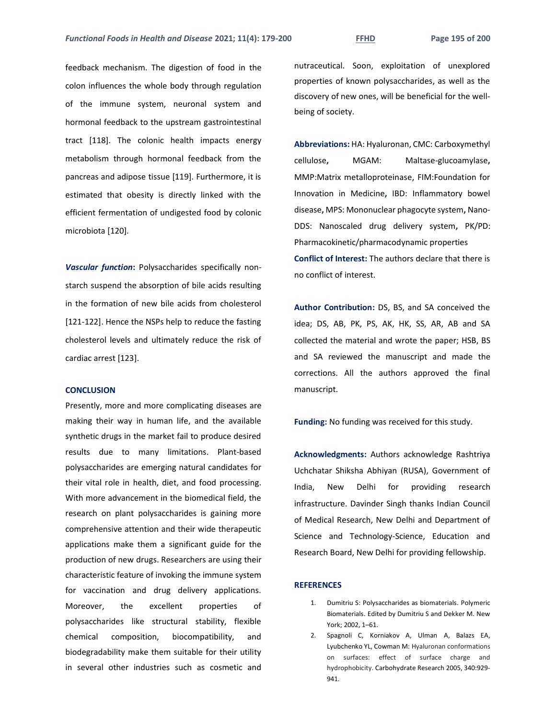feedback mechanism. The digestion of food in the colon influences the whole body through regulation of the immune system, neuronal system and hormonal feedback to the upstream gastrointestinal tract [118]. The colonic health impacts energy metabolism through hormonal feedback from the pancreas and adipose tissue [119]. Furthermore, it is estimated that obesity is directly linked with the efficient fermentation of undigested food by colonic microbiota [120].

*Vascular function***:** Polysaccharides specifically nonstarch suspend the absorption of bile acids resulting in the formation of new bile acids from cholesterol [121-122]. Hence the NSPs help to reduce the fasting cholesterol levels and ultimately reduce the risk of cardiac arrest [123].

## **CONCLUSION**

Presently, more and more complicating diseases are making their way in human life, and the available synthetic drugs in the market fail to produce desired results due to many limitations. Plant-based polysaccharides are emerging natural candidates for their vital role in health, diet, and food processing. With more advancement in the biomedical field, the research on plant polysaccharides is gaining more comprehensive attention and their wide therapeutic applications make them a significant guide for the production of new drugs. Researchers are using their characteristic feature of invoking the immune system for vaccination and drug delivery applications. Moreover, the excellent properties of polysaccharides like structural stability, flexible chemical composition, biocompatibility, and biodegradability make them suitable for their utility in several other industries such as cosmetic and

nutraceutical. Soon, exploitation of unexplored properties of known polysaccharides, as well as the discovery of new ones, will be beneficial for the wellbeing of society.

**Abbreviations:** HA: Hyaluronan, CMC: Carboxymethyl cellulose**,** MGAM: Maltase-glucoamylase**,**  MMP:Matrix metalloproteinase, FIM:Foundation for Innovation in Medicine**,** IBD: Inflammatory bowel disease**,** MPS: Mononuclear phagocyte system**,** Nano-DDS: Nanoscaled drug delivery system**,** PK/PD: Pharmacokinetic/pharmacodynamic properties **Conflict of Interest:** The authors declare that there is no conflict of interest.

**Author Contribution:** DS, BS, and SA conceived the idea; DS, AB, PK, PS, AK, HK, SS, AR, AB and SA collected the material and wrote the paper; HSB, BS and SA reviewed the manuscript and made the corrections. All the authors approved the final manuscript.

**Funding:** No funding was received for this study.

**Acknowledgments:** Authors acknowledge Rashtriya Uchchatar Shiksha Abhiyan (RUSA), Government of India, New Delhi for providing research infrastructure. Davinder Singh thanks Indian Council of Medical Research, New Delhi and Department of Science and Technology-Science, Education and Research Board, New Delhi for providing fellowship.

#### **REFERENCES**

- 1. Dumitriu S: Polysaccharides as biomaterials. Polymeric Biomaterials. Edited by Dumitriu S and Dekker M. New York; 2002, 1–61.
- 2. Spagnoli C, Korniakov A, Ulman A, Balazs EA, Lyubchenko YL, Cowman M: Hyaluronan conformations on surfaces: effect of surface charge and hydrophobicity. Carbohydrate Research 2005, 340:929- 941.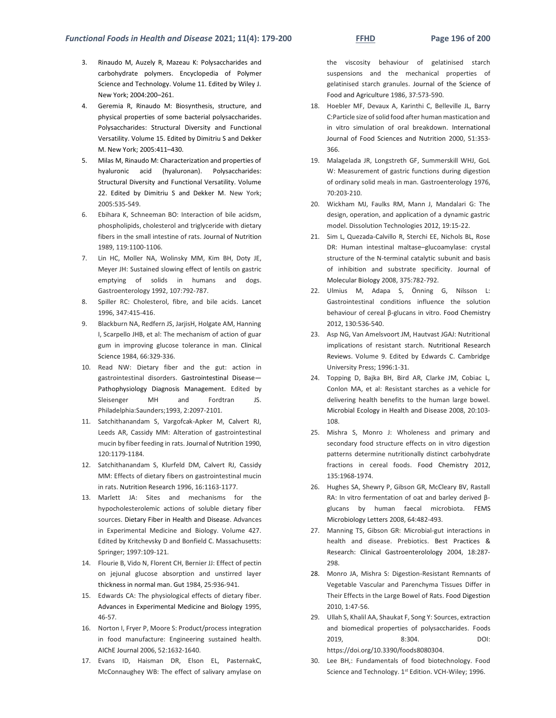- 3. Rinaudo M, Auzely R, Mazeau K: Polysaccharides and carbohydrate polymers. Encyclopedia of Polymer Science and Technology. Volume 11. Edited by Wiley J. New York; 2004:200–261.
- 4. Geremia R, Rinaudo M: Biosynthesis, structure, and physical properties of some bacterial polysaccharides. Polysaccharides: Structural Diversity and Functional Versatility. Volume 15. Edited by Dimitriu S and Dekker M. New York; 2005:411–430.
- 5. Milas M, Rinaudo M: Characterization and properties of hyaluronic acid (hyaluronan). Polysaccharides: Structural Diversity and Functional Versatility. Volume 22. Edited by Dimitriu S and Dekker M. New York; 2005:535-549.
- 6. Ebihara K, Schneeman BO: Interaction of bile acidsm, phospholipids, cholesterol and triglyceride with dietary fibers in the small intestine of rats. Journal of Nutrition 1989, 119:1100-1106.
- 7. Lin HC, Moller NA, Wolinsky MM, Kim BH, Doty JE, Meyer JH: Sustained slowing effect of lentils on gastric emptying of solids in humans and dogs. Gastroenterology 1992, 107:792-787.
- 8. Spiller RC: Cholesterol, fibre, and bile acids. Lancet 1996, 347:415-416.
- 9. Blackburn NA, Redfern JS, JarjisH, Holgate AM, Hanning I, Scarpello JHB, et al: The mechanism of action of guar gum in improving glucose tolerance in man. Clinical Science 1984, 66:329-336.
- 10. Read NW: Dietary fiber and the gut: action in gastrointestinal disorders. Gastrointestinal Disease— Pathophysiology Diagnosis Management. Edited by Sleisenger MH and Fordtran JS. Philadelphia:Saunders;1993, 2:2097-2101.
- 11. Satchithanandam S, Vargofcak-Apker M, Calvert RJ, Leeds AR, Cassidy MM: Alteration of gastrointestinal mucin by fiber feeding in rats. Journal of Nutrition 1990, 120:1179-1184.
- 12. Satchithanandam S, Klurfeld DM, Calvert RJ, Cassidy MM: Effects of dietary fibers on gastrointestinal mucin in rats. Nutrition Research 1996, 16:1163-1177.
- 13. Marlett JA: Sites and mechanisms for the hypocholesterolemic actions of soluble dietary fiber sources. Dietary Fiber in Health and Disease. Advances in Experimental Medicine and Biology. Volume 427. Edited by Kritchevsky D and Bonfield C. Massachusetts: Springer; 1997:109-121.
- 14. Flourie B, Vido N, Florent CH, Bernier JJ: Effect of pectin on jejunal glucose absorption and unstirred layer thickness in normal man. Gut 1984, 25:936-941.
- 15. Edwards CA: The physiological effects of dietary fiber. Advances in Experimental Medicine and Biology 1995, 46-57.
- 16. Norton I, Fryer P, Moore S: Product/process integration in food manufacture: Engineering sustained health. AIChE Journal 2006, 52:1632-1640.
- 17. Evans ID, Haisman DR, Elson EL, PasternakC, McConnaughey WB: The effect of salivary amylase on

the viscosity behaviour of gelatinised starch suspensions and the mechanical properties of gelatinised starch granules. Journal of the Science of Food and Agriculture 1986, 37:573-590.

- 18. Hoebler MF, Devaux A, Karinthi C, Belleville JL, Barry C:Particle size of solid food after human mastication and in vitro simulation of oral breakdown. International Journal of Food Sciences and Nutrition 2000, 51:353- 366.
- 19. Malagelada JR, Longstreth GF, Summerskill WHJ, GoL W: Measurement of gastric functions during digestion of ordinary solid meals in man. Gastroenterology 1976, 70:203-210.
- 20. Wickham MJ, Faulks RM, Mann J, Mandalari G: The design, operation, and application of a dynamic gastric model. Dissolution Technologies 2012, 19:15-22.
- 21. Sim L, Quezada-Calvillo R, Sterchi EE, Nichols BL, Rose DR: Human intestinal maltase–glucoamylase: crystal structure of the N-terminal catalytic subunit and basis of inhibition and substrate specificity. Journal of Molecular Biology 2008, 375:782-792.
- 22. Ulmius M, Adapa S, Önning G, Nilsson L: Gastrointestinal conditions influence the solution behaviour of cereal β-glucans in vitro. Food Chemistry 2012, 130:536-540.
- 23. Asp NG, Van Amelsvoort JM, Hautvast JGAJ: Nutritional implications of resistant starch. Nutritional Research Reviews. Volume 9. Edited by Edwards C. Cambridge University Press; 1996:1-31.
- 24. Topping D, Bajka BH, Bird AR, Clarke JM, Cobiac L, Conlon MA, et al: Resistant starches as a vehicle for delivering health benefits to the human large bowel. Microbial Ecology in Health and Disease 2008, 20:103- 108.
- 25. Mishra S, Monro J: Wholeness and primary and secondary food structure effects on in vitro digestion patterns determine nutritionally distinct carbohydrate fractions in cereal foods. Food Chemistry 2012, 135:1968-1974.
- 26. Hughes SA, Shewry P, Gibson GR, McCleary BV, Rastall RA: In vitro fermentation of oat and barley derived βglucans by human faecal microbiota. FEMS Microbiology Letters 2008, 64:482-493.
- 27. Manning TS, Gibson GR: Microbial-gut interactions in health and disease. Prebiotics. Best Practices & Research: Clinical Gastroenterolology 2004, 18:287- 298.
- 28. Monro JA, Mishra S: Digestion-Resistant Remnants of Vegetable Vascular and Parenchyma Tissues Differ in Their Effects in the Large Bowel of Rats. Food Digestion 2010, 1:47-56.
- 29. Ullah S, Khalil AA, Shaukat F, Song Y: Sources, extraction and biomedical properties of polysaccharides. Foods 2019, 8:304. DOI: [https://doi.org/10.3390/foods8080304.](https://doi.org/10.3390/foods8080304)
- 30. Lee BH,: Fundamentals of food biotechnology. Food Science and Technology. 1st Edition. VCH-Wiley; 1996.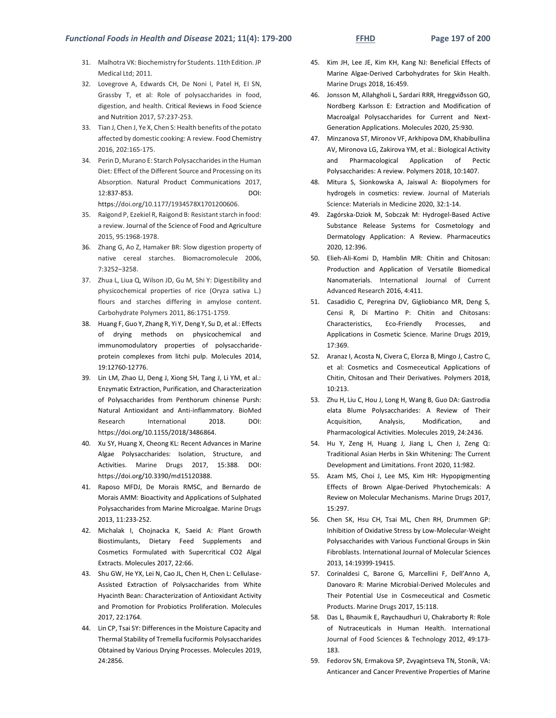- 31. Malhotra VK: Biochemistry for Students. 11th Edition. JP Medical Ltd; 2011.
- 32. Lovegrove A, Edwards CH, De Noni I, Patel H, EI SN, Grassby T, et al: Role of polysaccharides in food, digestion, and health. Critical Reviews in Food Science and Nutrition 2017, 57:237-253.
- 33. Tian J, Chen J, Ye X, Chen S: Health benefits of the potato affected by domestic cooking: A review. Food Chemistry 2016, 202:165-175.
- 34. Perin D, Murano E: Starch Polysaccharides in the Human Diet: Effect of the Different Source and Processing on its Absorption. Natural Product Communications 2017, 12:837-853. DOI: [https://doi.org/10.1177/1934578X1701200606.](https://doi.org/10.1177/1934578X1701200606)
- 35. Raigond P, Ezekiel R, Raigond B: Resistant starch in food: a review. Journal of the Science of Food and Agriculture 2015, 95:1968-1978.
- 36. Zhang G, Ao Z, Hamaker BR: Slow digestion property of native cereal starches. Biomacromolecule 2006, 7:3252–3258.
- 37. Zhua L, Liua Q, Wilson JD, Gu M, Shi Y: Digestibility and physicochemical properties of rice (Oryza sativa L.) flours and starches differing in amylose content. Carbohydrate Polymers 2011, 86:1751-1759.
- 38. Huang F, Guo Y, Zhang R, Yi Y, Deng Y, Su D, et al.: Effects of drying methods on physicochemical and immunomodulatory properties of polysaccharideprotein complexes from litchi pulp. Molecules 2014, 19:12760-12776.
- 39. Lin LM, Zhao LJ, Deng J, Xiong SH, Tang J, Li YM, et al.: Enzymatic Extraction, Purification, and Characterization of Polysaccharides from Penthorum chinense Pursh: Natural Antioxidant and Anti-inflammatory. BioMed Research International 2018. DOI: [https://doi.org/10.1155/2018/3486864.](https://doi.org/10.1155/2018/3486864)
- 40. Xu SY, Huang X, Cheong KL: Recent Advances in Marine Algae Polysaccharides: Isolation, Structure, and Activities. Marine Drugs 2017, 15:388. DOI: [https://doi.org/10.3390/md15120388.](https://doi.org/10.3390/md15120388)
- 41. Raposo MFDJ, De Morais RMSC, and Bernardo de Morais AMM: Bioactivity and Applications of Sulphated Polysaccharides from Marine Microalgae. Marine Drugs 2013, 11:233-252.
- 42. Michalak I, Chojnacka K, Saeid A: Plant Growth Biostimulants, Dietary Feed Supplements and Cosmetics Formulated with Supercritical CO2 Algal Extracts. Molecules 2017, 22:66.
- 43. Shu GW, He YX, Lei N, Cao JL, Chen H, Chen L: Cellulase-Assisted Extraction of Polysaccharides from White Hyacinth Bean: Characterization of Antioxidant Activity and Promotion for Probiotics Proliferation. Molecules 2017, 22:1764.
- 44. Lin CP, Tsai SY: Differences in the Moisture Capacity and Thermal Stability of Tremella fuciformis Polysaccharides Obtained by Various Drying Processes. Molecules 2019, 24:2856.
- 45. Kim JH, Lee JE, Kim KH, Kang NJ: Beneficial Effects of Marine Algae-Derived Carbohydrates for Skin Health. Marine Drugs 2018, 16:459.
- 46. Jonsson M, Allahgholi L, Sardari RRR, Hreggviðsson GO, Nordberg Karlsson E: Extraction and Modification of Macroalgal Polysaccharides for Current and Next-Generation Applications. Molecules 2020, 25:930.
- 47. Minzanova ST, Mironov VF, Arkhipova DM, Khabibullina AV, Mironova LG, Zakirova YM, et al.: Biological Activity and Pharmacological Application of Pectic Polysaccharides: A review. Polymers 2018, 10:1407.
- 48. Mitura S, Sionkowska A, Jaiswal A: Biopolymers for hydrogels in cosmetics: review. Journal of Materials Science: Materials in Medicine 2020, 32:1-14.
- 49. Zagórska-Dziok M, Sobczak M: Hydrogel-Based Active Substance Release Systems for Cosmetology and Dermatology Application: A Review. Pharmaceutics 2020, 12:396.
- 50. Elieh-Ali-Komi D, Hamblin MR: Chitin and Chitosan: Production and Application of Versatile Biomedical Nanomaterials. International Journal of Current Advanced Research 2016, 4:411.
- 51. Casadidio C, Peregrina DV, Gigliobianco MR, Deng S, Censi R, Di Martino P: Chitin and Chitosans: Characteristics, Eco-Friendly Processes, and Applications in Cosmetic Science. Marine Drugs 2019, 17:369.
- 52. Aranaz I, Acosta N, Civera C, Elorza B, Mingo J, Castro C, et al: Cosmetics and Cosmeceutical Applications of Chitin, Chitosan and Their Derivatives. Polymers 2018,  $10.213$
- 53. Zhu H, Liu C, Hou J, Long H, Wang B, Guo DA: Gastrodia elata Blume Polysaccharides: A Review of Their Acquisition, Analysis, Modification, and Pharmacological Activities. Molecules 2019, 24:2436.
- 54. Hu Y, Zeng H, Huang J, Jiang L, Chen J, Zeng Q: Traditional Asian Herbs in Skin Whitening: The Current Development and Limitations. Front 2020, 11:982.
- 55. Azam MS, Choi J, Lee MS, Kim HR: Hypopigmenting Effects of Brown Algae-Derived Phytochemicals: A Review on Molecular Mechanisms. Marine Drugs 2017, 15:297.
- 56. Chen SK, Hsu CH, Tsai ML, Chen RH, Drummen GP: Inhibition of Oxidative Stress by Low-Molecular-Weight Polysaccharides with Various Functional Groups in Skin Fibroblasts. International Journal of Molecular Sciences 2013, 14:19399-19415.
- 57. Corinaldesi C, Barone G, Marcellini F, Dell'Anno A, Danovaro R: Marine Microbial-Derived Molecules and Their Potential Use in Cosmeceutical and Cosmetic Products. Marine Drugs 2017, 15:118.
- 58. Das L, Bhaumik E, Raychaudhuri U, Chakraborty R: Role of Nutraceuticals in Human Health. International Journal of Food Sciences & Technology 2012, 49:173- 183.
- 59. Fedorov SN, Ermakova SP, Zvyagintseva TN, Stonik, VA: Anticancer and Cancer Preventive Properties of Marine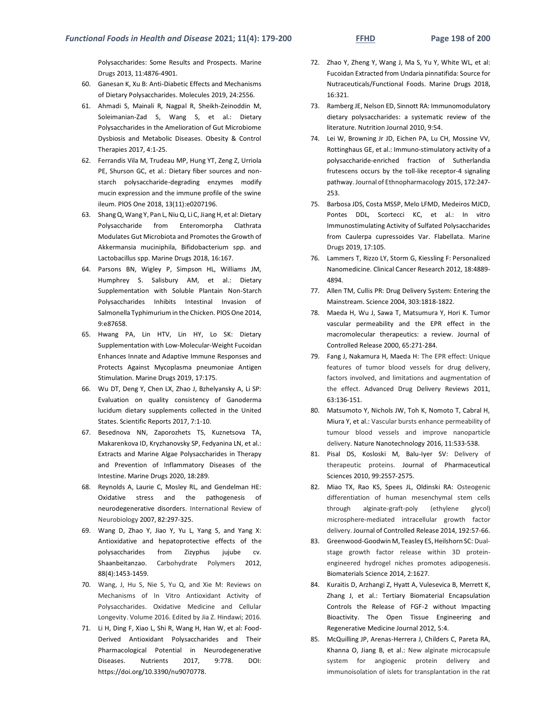Polysaccharides: Some Results and Prospects. Marine Drugs 2013, 11:4876-4901.

- 60. Ganesan K, Xu B: Anti-Diabetic Effects and Mechanisms of Dietary Polysaccharides. Molecules 2019, 24:2556.
- 61. Ahmadi S, Mainali R, Nagpal R, Sheikh-Zeinoddin M, Soleimanian-Zad S, Wang S, et al.: Dietary Polysaccharides in the Amelioration of Gut Microbiome Dysbiosis and Metabolic Diseases. Obesity & Control Therapies 2017, 4:1-25.
- 62. Ferrandis Vila M, Trudeau MP, Hung YT, Zeng Z, Urriola PE, Shurson GC, et al.: Dietary fiber sources and nonstarch polysaccharide-degrading enzymes modify mucin expression and the immune profile of the swine ileum. PlOS One 2018, 13(11):e0207196.
- 63. Shang Q, Wang Y, Pan L, Niu Q, Li C, Jiang H, et al: Dietary Polysaccharide from Enteromorpha Clathrata Modulates Gut Microbiota and Promotes the Growth of Akkermansia muciniphila, Bifidobacterium spp. and Lactobacillus spp. Marine Drugs 2018, 16:167.
- 64. Parsons BN, Wigley P, Simpson HL, Williams JM, Humphrey S. Salisbury AM, et al.: Dietary Supplementation with Soluble Plantain Non-Starch Polysaccharides Inhibits Intestinal Invasion of Salmonella Typhimurium in the Chicken. PlOS One 2014, 9:e87658.
- 65. Hwang PA, Lin HTV, Lin HY, Lo SK: Dietary Supplementation with Low-Molecular-Weight Fucoidan Enhances Innate and Adaptive Immune Responses and Protects Against Mycoplasma pneumoniae Antigen Stimulation. Marine Drugs 2019, 17:175.
- 66. Wu DT, Deng Y, Chen LX, Zhao J, Bzhelyansky A, Li SP: Evaluation on quality consistency of Ganoderma lucidum dietary supplements collected in the United States. Scientific Reports 2017, 7:1-10.
- 67. Besednova NN, Zaporozhets TS, Kuznetsova TA, Makarenkova ID, Kryzhanovsky SP, Fedyanina LN, et al.: Extracts and Marine Algae Polysaccharides in Therapy and Prevention of Inflammatory Diseases of the Intestine. Marine Drugs 2020, 18:289.
- 68. Reynolds A, Laurie C, Mosley RL, and Gendelman HE: Oxidative stress and the pathogenesis of neurodegenerative disorders. International Review of Neurobiology 2007, 82:297-325.
- 69. Wang D, Zhao Y, Jiao Y, Yu L, Yang S, and Yang X: Antioxidative and hepatoprotective effects of the polysaccharides from Zizyphus jujube cv. Shaanbeitanzao. Carbohydrate Polymers 2012, 88(4):1453-1459.
- 70. Wang, J, Hu S, Nie S, Yu Q, and Xie M: Reviews on Mechanisms of In Vitro Antioxidant Activity of Polysaccharides. Oxidative Medicine and Cellular Longevity. Volume 2016. Edited by Jia Z. Hindawi; 2016.
- 71. Li H, Ding F, Xiao L, Shi R, Wang H, Han W, et al: Food-Derived Antioxidant Polysaccharides and Their Pharmacological Potential in Neurodegenerative Diseases. Nutrients 2017, 9:778. DOI: [https://doi.org/10.3390/nu9070778.](https://doi.org/10.3390/nu9070778)
- 72. Zhao Y, Zheng Y, Wang J, Ma S, Yu Y, White WL, et al: Fucoidan Extracted from Undaria pinnatifida: Source for Nutraceuticals/Functional Foods. Marine Drugs 2018, 16:321.
- 73. Ramberg JE, Nelson ED, Sinnott RA: Immunomodulatory dietary polysaccharides: a systematic review of the literature. Nutrition Journal 2010, 9:54.
- 74. Lei W, Browning Jr JD, Eichen PA, Lu CH, Mossine VV, Rottinghaus GE, et al.: Immuno-stimulatory activity of a polysaccharide-enriched fraction of Sutherlandia frutescens occurs by the toll-like receptor-4 signaling pathway. Journal of Ethnopharmacology 2015, 172:247- 253.
- 75. Barbosa JDS, Costa MSSP, Melo LFMD, Medeiros MJCD, Pontes DDL, Scortecci KC, et al.: In vitro Immunostimulating Activity of Sulfated Polysaccharides from Caulerpa cupressoides Var. Flabellata. Marine Drugs 2019, 17:105.
- 76. Lammers T, Rizzo LY, Storm G, Kiessling F: Personalized Nanomedicine. Clinical Cancer Research 2012, 18:4889- 4894.
- 77. Allen TM, Cullis PR: Drug Delivery System: Entering the Mainstream. Science 2004, 303:1818-1822.
- 78. Maeda H, Wu J, Sawa T, Matsumura Y, Hori K. Tumor vascular permeability and the EPR effect in the macromolecular therapeutics: a review. Journal of Controlled Release 2000, 65:271-284.
- 79. Fang J, Nakamura H, Maeda H: The EPR effect: Unique features of tumor blood vessels for drug delivery, factors involved, and limitations and augmentation of the effect. Advanced Drug Delivery Reviews 2011, 63:136-151.
- 80. Matsumoto Y, Nichols JW, Toh K, Nomoto T, Cabral H, Miura Y, et al.: Vascular bursts enhance permeability of tumour blood vessels and improve nanoparticle delivery. Nature Nanotechnology 2016, 11:533-538.
- 81. Pisal DS, Kosloski M, Balu-Iyer SV: Delivery of therapeutic proteins. Journal of Pharmaceutical Sciences 2010, 99:2557-2575.
- 82. Miao TX, Rao KS, Spees JL, Oldinski RA: Osteogenic differentiation of human mesenchymal stem cells through alginate-graft-poly (ethylene glycol) microsphere-mediated intracellular growth factor delivery. Journal of Controlled Release 2014, 192:57-66.
- 83. Greenwood-Goodwin M, Teasley ES, Heilshorn SC: Dualstage growth factor release within 3D proteinengineered hydrogel niches promotes adipogenesis. Biomaterials Science 2014, 2:1627.
- 84. Kuraitis D, Arzhangi Z, Hyatt A, Vulesevica B, Merrett K, Zhang J, et al.: Tertiary Biomaterial Encapsulation Controls the Release of FGF-2 without Impacting Bioactivity. The Open Tissue Engineering and Regenerative Medicine Journal 2012, 5:4.
- 85. McQuilling JP, Arenas-Herrera J, Childers C, Pareta RA, Khanna O, Jiang B, et al.: New alginate microcapsule system for angiogenic protein delivery and immunoisolation of islets for transplantation in the rat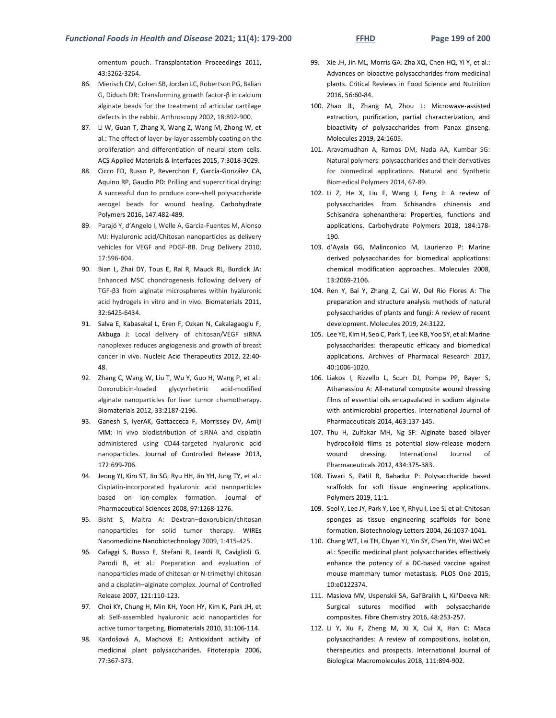omentum pouch. Transplantation Proceedings 2011, 43:3262-3264.

- 86. Mierisch CM, Cohen SB, Jordan LC, Robertson PG, Balian G, Diduch DR: Transforming growth factor-β in calcium alginate beads for the treatment of articular cartilage defects in the rabbit. Arthroscopy 2002, 18:892-900.
- 87. Li W, Guan T, Zhang X, Wang Z, Wang M, Zhong W, et al.: The effect of layer-by-layer assembly coating on the proliferation and differentiation of neural stem cells. ACS Applied Materials & Interfaces 2015, 7:3018-3029.
- 88. Cicco FD, Russo P, Reverchon E, García-González CA, Aquino RP, Gaudio PD: Prilling and supercritical drying: A successful duo to produce core-shell polysaccharide aerogel beads for wound healing. Carbohydrate Polymers 2016, 147:482-489.
- 89. Parajó Y, d'Angelo I, Welle A, Garcia-Fuentes M, Alonso MJ: Hyaluronic acid/Chitosan nanoparticles as delivery vehicles for VEGF and PDGF-BB. Drug Delivery 2010, 17:596-604.
- 90. Bian L, Zhai DY, Tous E, Rai R, Mauck RL, Burdick JA: Enhanced MSC chondrogenesis following delivery of TGF-β3 from alginate microspheres within hyaluronic acid hydrogels in vitro and in vivo. Biomaterials 2011, 32:6425-6434.
- 91. Salva E, Kabasakal L, Eren F, Ozkan N, Cakalagaoglu F, Akbuga J: Local delivery of chitosan/VEGF siRNA nanoplexes reduces angiogenesis and growth of breast cancer in vivo. Nucleic Acid Therapeutics 2012, 22:40- 48.
- 92. Zhang C, Wang W, Liu T, Wu Y, Guo H, Wang P, et al.: Doxorubicin-loaded glycyrrhetinic acid-modified alginate nanoparticles for liver tumor chemotherapy. Biomaterials 2012, 33:2187-2196.
- 93. Ganesh S, IyerAK, Gattacceca F, Morrissey DV, Amiji MM: In vivo biodistribution of siRNA and cisplatin administered using CD44-targeted hyaluronic acid nanoparticles. Journal of Controlled Release 2013, 172:699-706.
- 94. Jeong YI, Kim ST, Jin SG, Ryu HH, Jin YH, Jung TY, et al.: Cisplatin‐incorporated hyaluronic acid nanoparticles based on ion‐complex formation. Journal of Pharmaceutical Sciences 2008, 97:1268-1276.
- 95. Bisht S, Maitra A: Dextran–doxorubicin/chitosan nanoparticles for solid tumor therapy. WIREs Nanomedicine Nanobiotechnology 2009, 1:415-425.
- 96. Cafaggi S, Russo E, Stefani R, Leardi R, Caviglioli G, Parodi B, et al.: Preparation and evaluation of nanoparticles made of chitosan or N-trimethyl chitosan and a cisplatin–alginate complex. Journal of Controlled Release 2007, 121:110-123.
- 97. Choi KY, Chung H, Min KH, Yoon HY, Kim K, Park JH, et al: Self-assembled hyaluronic acid nanoparticles for active tumor targeting, Biomaterials 2010, 31:106-114.
- 98. Kardošová A, Machová E: Antioxidant activity of medicinal plant polysaccharides. Fitoterapia 2006, 77:367-373.
- 99. Xie JH, Jin ML, Morris GA. Zha XQ, Chen HQ, Yi Y, et al.: Advances on bioactive polysaccharides from medicinal plants. Critical Reviews in Food Science and Nutrition 2016, 56:60-84.
- 100. Zhao JL, Zhang M, Zhou L: Microwave-assisted extraction, purification, partial characterization, and bioactivity of polysaccharides from Panax ginseng. Molecules 2019, 24:1605.
- 101. Aravamudhan A, Ramos DM, Nada AA, Kumbar SG: Natural polymers: polysaccharides and their derivatives for biomedical applications. Natural and Synthetic Biomedical Polymers 2014, 67-89.
- 102. Li Z, He X, Liu F, Wang J, Feng J: A review of polysaccharides from Schisandra chinensis and Schisandra sphenanthera: Properties, functions and applications. Carbohydrate Polymers 2018, 184:178- 190.
- 103. d'Ayala GG, Malinconico M, Laurienzo P: Marine derived polysaccharides for biomedical applications: chemical modification approaches. Molecules 2008, 13:2069-2106.
- 104. Ren Y, Bai Y, Zhang Z, Cai W, Del Rio Flores A: The preparation and structure analysis methods of natural polysaccharides of plants and fungi: A review of recent development. Molecules 2019, 24:3122.
- 105. Lee YE, Kim H, Seo C, Park T, Lee KB, Yoo SY, et al: Marine polysaccharides: therapeutic efficacy and biomedical applications. Archives of Pharmacal Research 2017, 40:1006-1020.
- 106. Liakos I, Rizzello L, Scurr DJ, Pompa PP, Bayer S, Athanassiou A: All-natural composite wound dressing films of essential oils encapsulated in sodium alginate with antimicrobial properties. International Journal of Pharmaceuticals 2014, 463:137-145.
- 107. Thu H, Zulfakar MH, Ng SF: Alginate based bilayer hydrocolloid films as potential slow-release modern wound dressing. International Journal Pharmaceuticals 2012, 434:375-383.
- 108. Tiwari S, Patil R, Bahadur P: Polysaccharide based scaffolds for soft tissue engineering applications. Polymers 2019, 11:1.
- 109. Seol Y, Lee JY, Park Y, Lee Y, Rhyu I, Lee SJ et al: Chitosan sponges as tissue engineering scaffolds for bone formation. Biotechnology Letters 2004, 26:1037-1041.
- 110. Chang WT, Lai TH, Chyan YJ, Yin SY, Chen YH, Wei WC et al.: Specific medicinal plant polysaccharides effectively enhance the potency of a DC-based vaccine against mouse mammary tumor metastasis. PLOS One 2015, 10:e0122374.
- 111. Maslova MV, Uspenskii SA, Gal'Braikh L, Kil'Deeva NR: Surgical sutures modified with polysaccharide composites. Fibre Chemistry 2016, 48:253-257.
- 112. Li Y, Xu F, Zheng M, Xi X, Cui X, Han C: Maca polysaccharides: A review of compositions, isolation, therapeutics and prospects. International Journal of Biological Macromolecules 2018, 111:894-902.